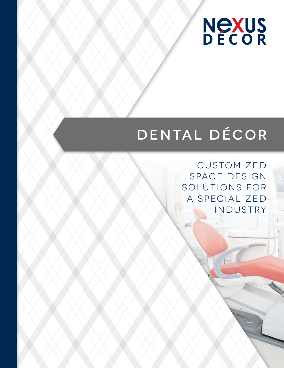

## DENTAL DÉCOR

CUSTOMIZED SPACE DESIGN SOLUTIONS FOR A SPECIALIZED INDUSTRY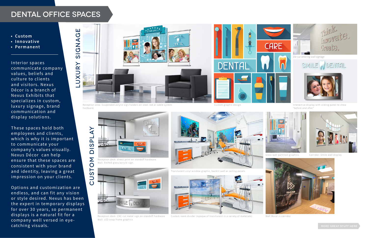## DENTAL OFFICE SPACES

- **• Custom**
- **• Innovative**
- **• Permanent**

Interior spaces communicate company values, beliefs and culture to clients and visitors. Nexus Décor is a branch of Nexus Exhibits that specializes in custom, luxury signage, brand communication and display solutions.

These spaces hold both employees and clients, which is why it is important to communicate your company's values visually. Nexus Décor can help ensure that these spaces are consistent with your brand and identity, leaving a great impression on your clients.

Options and customization are endless, and can fit any vision or style desired. Nexus has been the expert in temporary displays for over 30 years, so permanent displays is a natural fit for a company well versed in eyecatching visuals.



Reception desk: CNC cut metal sign on standoff hardware Wall: LED snap frame graphics



Reception desk: direct print on standoff hardware Wall: Etched glass/acrylic sign.



Custom room divider (opaque of translucent in a variety of materials) Wall Mural in corridor



Reception area: Suspended acrylic sign holders on steel rod or cable system Custom Custom graphic design hardware

Interactive display with sliding panel to show "before and after"



Glass wall partition graphics Corridor: Smile wall display







Translucent vinyl window graphic, backlit wall or ceiling panels